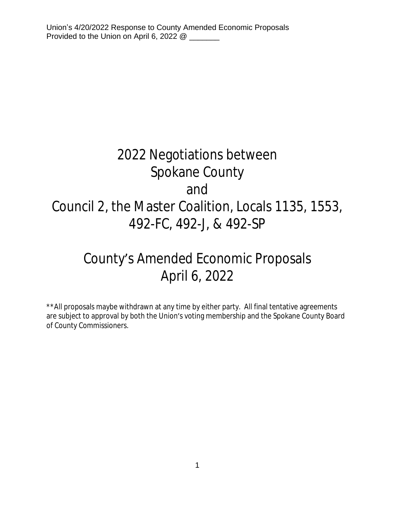# 2022 Negotiations between Spokane County and Council 2, the Master Coalition, Locals 1135, 1553, 492-FC, 492-J, & 492-SP

# County's Amended Economic Proposals April 6, 2022

\*\*All proposals maybe withdrawn at any time by either party. All final tentative agreements are subject to approval by both the Union's voting membership and the Spokane County Board of County Commissioners.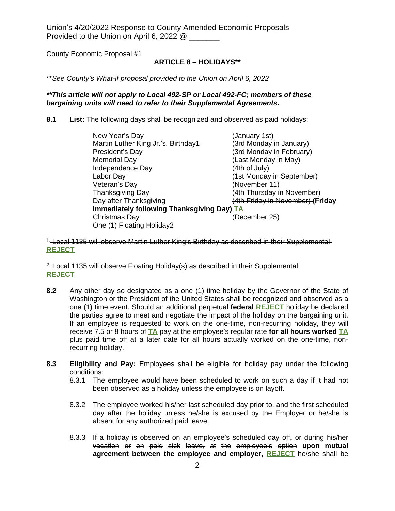County Economic Proposal #1

# **ARTICLE 8 – HOLIDAYS\*\***

\*\**See County's What-if proposal provided to the Union on April 6, 2022*

### *\*\*This article will not apply to Local 492-SP or Local 492-FC; members of these bargaining units will need to refer to their Supplemental Agreements.*

**8.1 List:** The following days shall be recognized and observed as paid holidays:

| New Year's Day                             | (January 1st)                    |  |
|--------------------------------------------|----------------------------------|--|
| Martin Luther King Jr.'s. Birthday4        | (3rd Monday in January)          |  |
| President's Day                            | (3rd Monday in February)         |  |
| <b>Memorial Day</b>                        | (Last Monday in May)             |  |
| Independence Day                           | (4th of July)                    |  |
| Labor Day                                  | (1st Monday in September)        |  |
| Veteran's Day                              | (November 11)                    |  |
| <b>Thanksgiving Day</b>                    | (4th Thursday in November)       |  |
| Day after Thanksgiving                     | (4th Friday in November) (Friday |  |
| immediately following Thanksgiving Day) TA |                                  |  |
| Christmas Day                              | (December 25)                    |  |
| One (1) Floating Holiday2                  |                                  |  |

<sup>4-</sup> Local 1135 will observe Martin Luther King's Birthday as described in their Supplemental **REJECT**

 $2$ -Local 1135 will observe Floating Holiday(s) as described in their Supplemental **REJECT**

- **8.2** Any other day so designated as a one (1) time holiday by the Governor of the State of Washington or the President of the United States shall be recognized and observed as a one (1) time event. Should an additional perpetual **federal REJECT** holiday be declared the parties agree to meet and negotiate the impact of the holiday on the bargaining unit. If an employee is requested to work on the one-time, non-recurring holiday, they will receive 7.5 or 8 hours of **TA** pay at the employee's regular rate **for all hours worked TA** plus paid time off at a later date for all hours actually worked on the one-time, nonrecurring holiday.
- **8.3 Eligibility and Pay:** Employees shall be eligible for holiday pay under the following conditions:
	- 8.3.1 The employee would have been scheduled to work on such a day if it had not been observed as a holiday unless the employee is on layoff.
	- 8.3.2 The employee worked his/her last scheduled day prior to, and the first scheduled day after the holiday unless he/she is excused by the Employer or he/she is absent for any authorized paid leave.
	- 8.3.3 If a holiday is observed on an employee's scheduled day off**,** or during his/her vacation or on paid sick leave, at the employee's option **upon mutual agreement between the employee and employer, REJECT** he/she shall be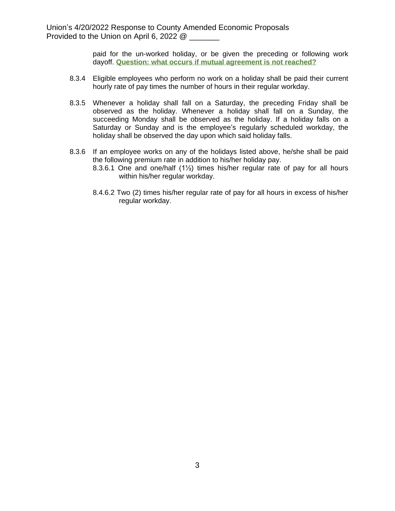paid for the un-worked holiday, or be given the preceding or following work dayoff. **Question: what occurs if mutual agreement is not reached?**

- 8.3.4 Eligible employees who perform no work on a holiday shall be paid their current hourly rate of pay times the number of hours in their regular workday.
- 8.3.5 Whenever a holiday shall fall on a Saturday, the preceding Friday shall be observed as the holiday. Whenever a holiday shall fall on a Sunday, the succeeding Monday shall be observed as the holiday. If a holiday falls on a Saturday or Sunday and is the employee's regularly scheduled workday, the holiday shall be observed the day upon which said holiday falls.
- 8.3.6 If an employee works on any of the holidays listed above, he/she shall be paid the following premium rate in addition to his/her holiday pay.
	- 8.3.6.1 One and one/half (1½) times his/her regular rate of pay for all hours within his/her regular workday.
	- 8.4.6.2 Two (2) times his/her regular rate of pay for all hours in excess of his/her regular workday.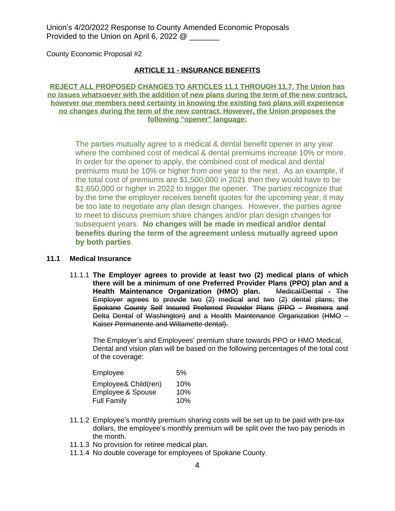County Economic Proposal #2

### **ARTICLE 11 - INSURANCE BENEFITS**

**REJECT ALL PROPOSED CHANGES TO ARTICLES 11.1 THROUGH 11.7. The Union has no issues whatsoever with the addition of new plans during the term of the new contract, however our members need certainty in knowing the existing two plans will experience no changes during the term of the new contract. However, the Union proposes the following "opener" language:**

The parties mutually agree to a medical & dental benefit opener in any year where the combined cost of medical & dental premiums increase 10% or more. In order for the opener to apply, the combined cost of medical and dental premiums must be 10% or higher from one year to the next. As an example, if the total cost of premiums are \$1,500,000 in 2021 then they would have to be \$1,650,000 or higher in 2022 to trigger the opener. The parties recognize that by the time the employer receives benefit quotes for the upcoming year, it may be too late to negotiate any plan design changes. However, the parties agree to meet to discuss premium share changes and/or plan design changes for subsequent years. **No changes will be made in medical and/or dental benefits during the term of the agreement unless mutually agreed upon by both parties**.

#### **11.1 Medical Insurance**

11.1.1 **The Employer agrees to provide at least two (2) medical plans of which there will be a minimum of one Preferred Provider Plans (PPO) plan and a Health Maintenance Organization (HMO) plan.** Medical/Dental - The Employer agrees to provide two (2) medical and two (2) dental plans; the Spokane County Self Insured Preferred Provider Plans (PPO – Premera and Delta Dental of Washington) and a Health Maintenance Organization (HMO – Kaiser Permanente and Willamette dental).

The Employer's and Employees' premium share towards PPO or HMO Medical, Dental and vision plan will be based on the following percentages of the total cost of the coverage:

| Employee<br>5%       |     |
|----------------------|-----|
| Employee& Child(ren) | 10% |
| Employee & Spouse    | 10% |
| <b>Full Family</b>   | 10% |

- 11.1.2 Employee's monthly premium sharing costs will be set up to be paid with pre-tax dollars, the employee's monthly premium will be split over the two pay periods in the month.
- 11.1.3 No provision for retiree medical plan.
- 11.1.4 No double coverage for employees of Spokane County.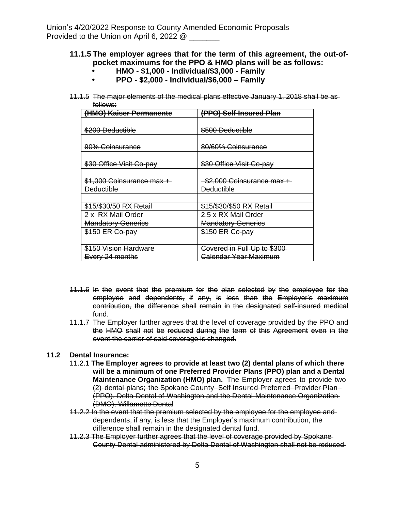# **11.1.5 The employer agrees that for the term of this agreement, the out-ofpocket maximums for the PPO & HMO plans will be as follows:**

- **• HMO \$1,000 Individual/\$3,000 Family**
- **• PPO \$2,000 Individual/\$6,000 – Family**
- 11.1.5 The major elements of the medical plans effective January 1, 2018 shall be as follows:

| (HMO) Kaiser Permanente    | (PPO) Self-Insured Plan         |
|----------------------------|---------------------------------|
|                            |                                 |
| \$200 Deductible           | \$500 Deductible                |
|                            |                                 |
| <del>90% Coinsurance</del> | 80/60% Coinsurance              |
|                            |                                 |
| \$30 Office Visit Co-pay   | \$30 Office Visit Co-pay        |
|                            |                                 |
| \$1,000 Coinsurance max +  | $-$ \$2,000 Coinsurance max $+$ |
| <b>Deductible</b>          | <b>Deductible</b>               |
|                            |                                 |
| \$15/\$30/50 RX Retail     | \$15/\$30/\$50 RX Retail        |
| 2 x RX Mail Order          | 2.5 x RX Mail Order             |
| <b>Mandatory Generics</b>  | <b>Mandatory Generics</b>       |
| \$150 ER Co-pay            | \$150 ER Co-pay                 |
|                            |                                 |
| \$150 Vision Hardware      | Covered in Full Up to \$300     |
| Every 24 months            | <b>Calendar Year Maximum</b>    |

- 11.1.6 In the event that the premium for the plan selected by the employee for the employee and dependents, if any, is less than the Employer's maximum contribution, the difference shall remain in the designated self-insured medical fund.
- 11.1.7 The Employer further agrees that the level of coverage provided by the PPO and the HMO shall not be reduced during the term of this Agreement even in the event the carrier of said coverage is changed.

# **11.2 Dental Insurance:**

- 11.2.1 **The Employer agrees to provide at least two (2) dental plans of which there will be a minimum of one Preferred Provider Plans (PPO) plan and a Dental Maintenance Organization (HMO) plan.** The Employer agrees to provide two (2) dental plans; the Spokane County Self Insured Preferred Provider Plan (PPO), Delta Dental of Washington and the Dental Maintenance Organization (DMO), Willamette Dental
- 11.2.2 In the event that the premium selected by the employee for the employee and dependents, if any, is less that the Employer's maximum contribution, the difference shall remain in the designated dental fund.
- 11.2.3 The Employer further agrees that the level of coverage provided by Spokane County Dental administered by Delta Dental of Washington shall not be reduced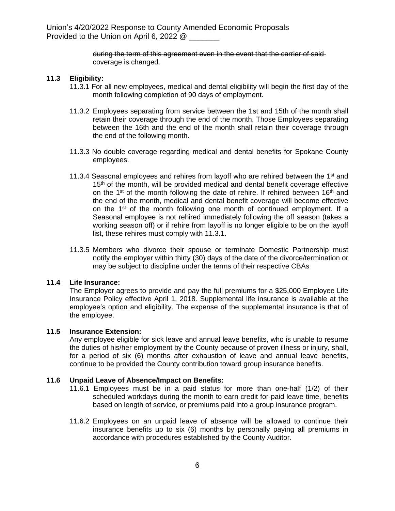# during the term of this agreement even in the event that the carrier of said coverage is changed.

# **11.3 Eligibility:**

- 11.3.1 For all new employees, medical and dental eligibility will begin the first day of the month following completion of 90 days of employment.
- 11.3.2 Employees separating from service between the 1st and 15th of the month shall retain their coverage through the end of the month. Those Employees separating between the 16th and the end of the month shall retain their coverage through the end of the following month.
- 11.3.3 No double coverage regarding medical and dental benefits for Spokane County employees.
- 11.3.4 Seasonal employees and rehires from layoff who are rehired between the  $1<sup>st</sup>$  and 15<sup>th</sup> of the month, will be provided medical and dental benefit coverage effective on the 1<sup>st</sup> of the month following the date of rehire. If rehired between 16<sup>th</sup> and the end of the month, medical and dental benefit coverage will become effective on the 1<sup>st</sup> of the month following one month of continued employment. If a Seasonal employee is not rehired immediately following the off season (takes a working season off) or if rehire from layoff is no longer eligible to be on the layoff list, these rehires must comply with 11.3.1.
- 11.3.5 Members who divorce their spouse or terminate Domestic Partnership must notify the employer within thirty (30) days of the date of the divorce/termination or may be subject to discipline under the terms of their respective CBAs

# **11.4 Life Insurance:**

The Employer agrees to provide and pay the full premiums for a \$25,000 Employee Life Insurance Policy effective April 1, 2018. Supplemental life insurance is available at the employee's option and eligibility. The expense of the supplemental insurance is that of the employee.

# **11.5 Insurance Extension:**

Any employee eligible for sick leave and annual leave benefits, who is unable to resume the duties of his/her employment by the County because of proven illness or injury, shall, for a period of six (6) months after exhaustion of leave and annual leave benefits, continue to be provided the County contribution toward group insurance benefits.

# **11.6 Unpaid Leave of Absence/Impact on Benefits:**

- 11.6.1 Employees must be in a paid status for more than one-half (1/2) of their scheduled workdays during the month to earn credit for paid leave time, benefits based on length of service, or premiums paid into a group insurance program.
- 11.6.2 Employees on an unpaid leave of absence will be allowed to continue their insurance benefits up to six (6) months by personally paying all premiums in accordance with procedures established by the County Auditor.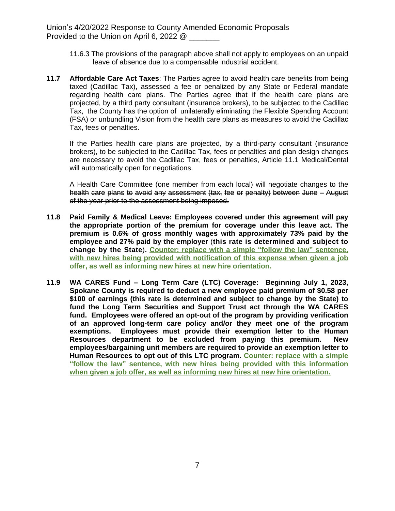- 11.6.3 The provisions of the paragraph above shall not apply to employees on an unpaid leave of absence due to a compensable industrial accident.
- **11.7 Affordable Care Act Taxes**: The Parties agree to avoid health care benefits from being taxed (Cadillac Tax), assessed a fee or penalized by any State or Federal mandate regarding health care plans. The Parties agree that if the health care plans are projected, by a third party consultant (insurance brokers), to be subjected to the Cadillac Tax, the County has the option of unilaterally eliminating the Flexible Spending Account (FSA) or unbundling Vision from the health care plans as measures to avoid the Cadillac Tax, fees or penalties.

If the Parties health care plans are projected, by a third-party consultant (insurance brokers), to be subjected to the Cadillac Tax, fees or penalties and plan design changes are necessary to avoid the Cadillac Tax, fees or penalties, Article 11.1 Medical/Dental will automatically open for negotiations.

A Health Care Committee (one member from each local) will negotiate changes to the health care plans to avoid any assessment (tax, fee or penalty) between June - August of the year prior to the assessment being imposed.

- **11.8 Paid Family & Medical Leave: Employees covered under this agreement will pay the appropriate portion of the premium for coverage under this leave act. The premium is 0.6% of gross monthly wages with approximately 73% paid by the employee and 27% paid by the employer** (**this rate is determined and subject to change by the State**)**. Counter: replace with a simple "follow the law" sentence, with new hires being provided with notification of this expense when given a job offer, as well as informing new hires at new hire orientation.**
- **11.9 WA CARES Fund – Long Term Care (LTC) Coverage: Beginning July 1, 2023, Spokane County is required to deduct a new employee paid premium of \$0.58 per \$100 of earnings (this rate is determined and subject to change by the State) to fund the Long Term Securities and Support Trust act through the WA CARES fund. Employees were offered an opt-out of the program by providing verification of an approved long-term care policy and/or they meet one of the program exemptions. Employees must provide their exemption letter to the Human Resources department to be excluded from paying this premium. New employees/bargaining unit members are required to provide an exemption letter to Human Resources to opt out of this LTC program. Counter: replace with a simple "follow the law" sentence, with new hires being provided with this information when given a job offer, as well as informing new hires at new hire orientation.**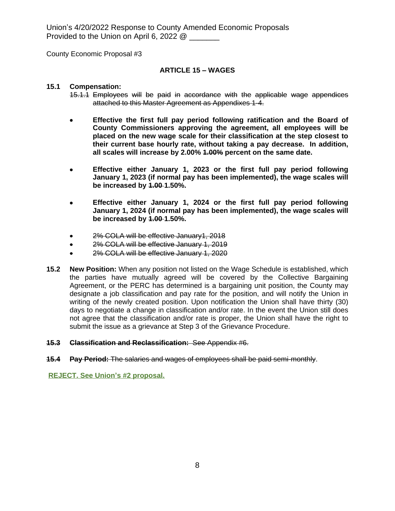County Economic Proposal #3

### **ARTICLE 15 – WAGES**

#### **15.1 Compensation:**

- 15.1.1 Employees will be paid in accordance with the applicable wage appendices attached to this Master Agreement as Appendixes 1-4.
- **Effective the first full pay period following ratification and the Board of County Commissioners approving the agreement, all employees will be placed on the new wage scale for their classification at the step closest to their current base hourly rate, without taking a pay decrease. In addition, all scales will increase by 2.00% 1.00% percent on the same date.**
- **Effective either January 1, 2023 or the first full pay period following January 1, 2023 (if normal pay has been implemented), the wage scales will be increased by 1.00 1.50%.**
- **Effective either January 1, 2024 or the first full pay period following January 1, 2024 (if normal pay has been implemented), the wage scales will be increased by 1.00 1.50%.**
- 2% COLA will be effective January1, 2018
- 2% COLA will be effective January 1, 2019
- 2% COLA will be effective January 1, 2020
- **15.2 New Position:** When any position not listed on the Wage Schedule is established, which the parties have mutually agreed will be covered by the Collective Bargaining Agreement, or the PERC has determined is a bargaining unit position, the County may designate a job classification and pay rate for the position, and will notify the Union in writing of the newly created position. Upon notification the Union shall have thirty (30) days to negotiate a change in classification and/or rate. In the event the Union still does not agree that the classification and/or rate is proper, the Union shall have the right to submit the issue as a grievance at Step 3 of the Grievance Procedure.

#### **15.3 Classification and Reclassification:** See Appendix #6.

**15.4 Pay Period:** The salaries and wages of employees shall be paid semi-monthly.

**REJECT. See Union's #2 proposal.**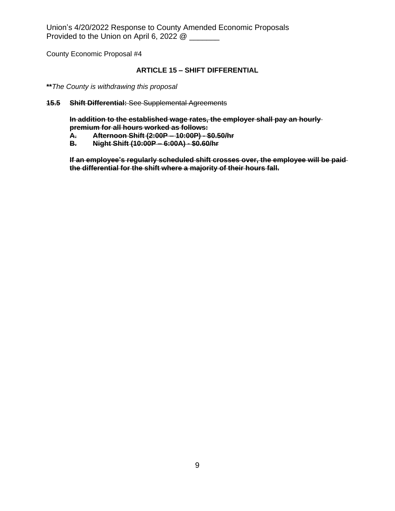County Economic Proposal #4

# **ARTICLE 15 – SHIFT DIFFERENTIAL**

- **\*\****The County is withdrawing this proposal*
- **15.5 Shift Differential:** See Supplemental Agreements

**In addition to the established wage rates, the employer shall pay an hourly premium for all hours worked as follows:**

- **A. Afternoon Shift (2:00P – 10:00P) \$0.50/hr**
- **B. Night Shift (10:00P – 6:00A) \$0.60/hr**

**If an employee's regularly scheduled shift crosses over, the employee will be paid the differential for the shift where a majority of their hours fall.**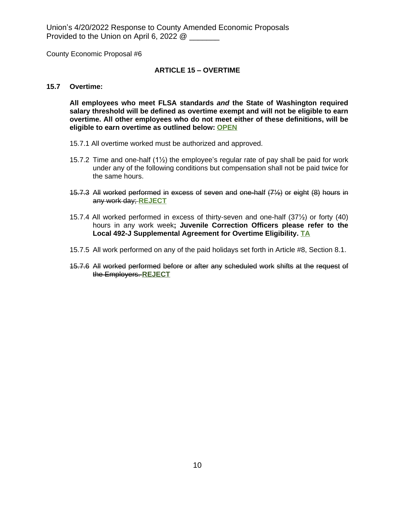County Economic Proposal #6

### **ARTICLE 15 – OVERTIME**

#### **15.7 Overtime:**

**All employees who meet FLSA standards** *and* **the State of Washington required salary threshold will be defined as overtime exempt and will not be eligible to earn overtime. All other employees who do not meet either of these definitions, will be eligible to earn overtime as outlined below: OPEN**

- 15.7.1 All overtime worked must be authorized and approved.
- 15.7.2 Time and one-half  $(1/2)$  the employee's regular rate of pay shall be paid for work under any of the following conditions but compensation shall not be paid twice for the same hours.
- 15.7.3 All worked performed in excess of seven and one-half (7½) or eight (8) hours in any work day; **REJECT**
- 15.7.4 All worked performed in excess of thirty-seven and one-half (37½) or forty (40) hours in any work week**; Juvenile Correction Officers please refer to the Local 492-J Supplemental Agreement for Overtime Eligibility. TA**
- 15.7.5 All work performed on any of the paid holidays set forth in Article #8, Section 8.1.
- 15.7.6 All worked performed before or after any scheduled work shifts at the request of the Employers. **REJECT**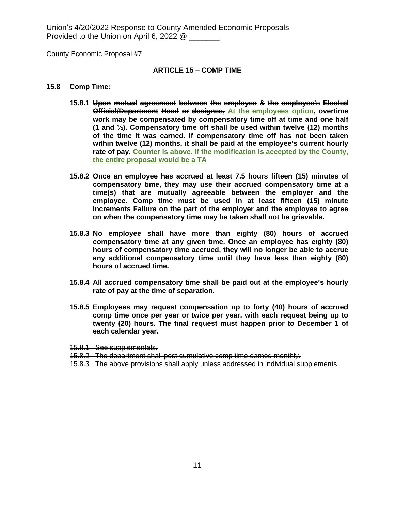County Economic Proposal #7

#### **ARTICLE 15 – COMP TIME**

#### **15.8 Comp Time:**

- **15.8.1 Upon mutual agreement between the employee & the employee's Elected Official/Department Head or designee, At the employees option, overtime work may be compensated by compensatory time off at time and one half (1 and ½). Compensatory time off shall be used within twelve (12) months of the time it was earned. If compensatory time off has not been taken within twelve (12) months, it shall be paid at the employee's current hourly rate of pay. Counter is above. If the modification is accepted by the County, the entire proposal would be a TA**
- **15.8.2 Once an employee has accrued at least 7.5 hours fifteen (15) minutes of compensatory time, they may use their accrued compensatory time at a time(s) that are mutually agreeable between the employer and the employee. Comp time must be used in at least fifteen (15) minute increments Failure on the part of the employer and the employee to agree on when the compensatory time may be taken shall not be grievable.**
- **15.8.3 No employee shall have more than eighty (80) hours of accrued compensatory time at any given time. Once an employee has eighty (80) hours of compensatory time accrued, they will no longer be able to accrue any additional compensatory time until they have less than eighty (80) hours of accrued time.**
- **15.8.4 All accrued compensatory time shall be paid out at the employee's hourly rate of pay at the time of separation.**
- **15.8.5 Employees may request compensation up to forty (40) hours of accrued comp time once per year or twice per year, with each request being up to twenty (20) hours. The final request must happen prior to December 1 of each calendar year.**

15.8.1 See supplementals.

- 15.8.2 The department shall post cumulative comp time earned monthly.
- 15.8.3 The above provisions shall apply unless addressed in individual supplements.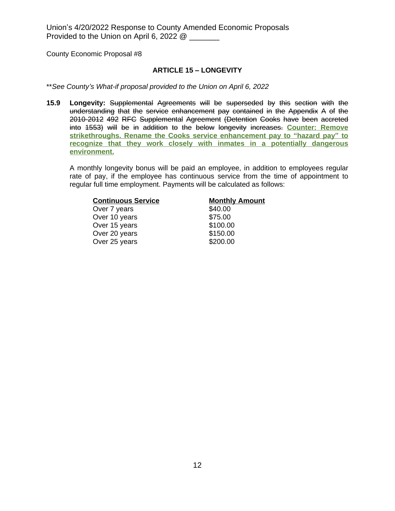County Economic Proposal #8

# **ARTICLE 15 – LONGEVITY**

\*\**See County's What-if proposal provided to the Union on April 6, 2022*

**15.9 Longevity:** Supplemental Agreements will be superseded by this section with the understanding that the service enhancement pay contained in the Appendix A of the 2010-2012 492 RFC Supplemental Agreement (Detention Cooks have been accreted into 1553) will be in addition to the below longevity increases. **Counter: Remove strikethroughs. Rename the Cooks service enhancement pay to "hazard pay" to recognize that they work closely with inmates in a potentially dangerous environment.**

A monthly longevity bonus will be paid an employee, in addition to employees regular rate of pay, if the employee has continuous service from the time of appointment to regular full time employment. Payments will be calculated as follows:

| <b>Continuous Service</b> | <b>Monthly Amount</b> |
|---------------------------|-----------------------|
| Over 7 years              | \$40.00               |
| Over 10 years             | \$75.00               |
| Over 15 years             | \$100.00              |
| Over 20 years             | \$150.00              |
| Over 25 years             | \$200.00              |
|                           |                       |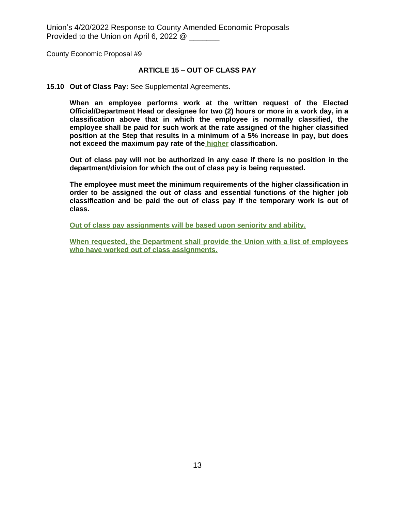County Economic Proposal #9

### **ARTICLE 15 – OUT OF CLASS PAY**

#### **15.10 Out of Class Pay:** See Supplemental Agreements.

**When an employee performs work at the written request of the Elected Official/Department Head or designee for two (2) hours or more in a work day, in a classification above that in which the employee is normally classified, the employee shall be paid for such work at the rate assigned of the higher classified position at the Step that results in a minimum of a 5% increase in pay, but does not exceed the maximum pay rate of the higher classification.**

**Out of class pay will not be authorized in any case if there is no position in the department/division for which the out of class pay is being requested.**

**The employee must meet the minimum requirements of the higher classification in order to be assigned the out of class and essential functions of the higher job classification and be paid the out of class pay if the temporary work is out of class.**

**Out of class pay assignments will be based upon seniority and ability.**

**When requested, the Department shall provide the Union with a list of employees who have worked out of class assignments.**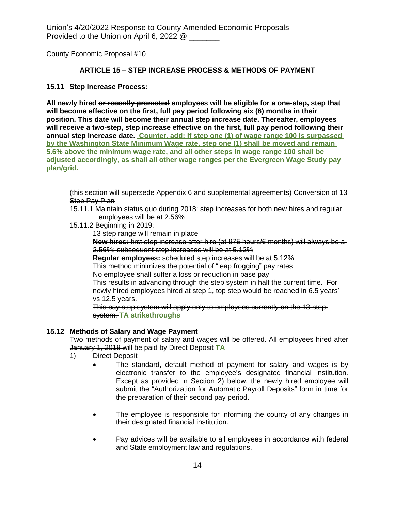County Economic Proposal #10

# **ARTICLE 15 – STEP INCREASE PROCESS & METHODS OF PAYMENT**

# **15.11 Step Increase Process:**

**All newly hired or recently promoted employees will be eligible for a one-step, step that will become effective on the first, full pay period following six (6) months in their position. This date will become their annual step increase date. Thereafter, employees will receive a two-step, step increase effective on the first, full pay period following their annual step increase date. Counter, add: If step one (1) of wage range 100 is surpassed by the Washington State Minimum Wage rate, step one (1) shall be moved and remain 5.6% above the minimum wage rate, and all other steps in wage range 100 shall be adjusted accordingly, as shall all other wage ranges per the Evergreen Wage Study pay plan/grid.**

(this section will supersede Appendix 6 and supplemental agreements) Conversion of 13 **Step Pay Plan** 

15.11.1 Maintain status quo during 2018: step increases for both new hires and regular employees will be at 2.56%

15.11.2 Beginning in 2019:

13 step range will remain in place

**New hires:** first step increase after hire (at 975 hours/6 months) will always be a 2.56%; subsequent step increases will be at 5.12%

**Regular employees:** scheduled step increases will be at 5.12%

This method minimizes the potential of "leap frogging" pay rates

No employee shall suffer a loss or reduction in base pay

This results in advancing through the step system in half the current time. For newly hired employees hired at step 1, top step would be reached in 6.5 years' vs 12.5 years.

This pay step system will apply only to employees currently on the 13-step system. **TA strikethroughs**

# **15.12 Methods of Salary and Wage Payment**

Two methods of payment of salary and wages will be offered. All employees hired after January 1, 2018 will be paid by Direct Deposit **TA**

- 1) Direct Deposit
	- The standard, default method of payment for salary and wages is by electronic transfer to the employee's designated financial institution. Except as provided in Section 2) below, the newly hired employee will submit the "Authorization for Automatic Payroll Deposits" form in time for the preparation of their second pay period.
	- The employee is responsible for informing the county of any changes in their designated financial institution.
	- Pay advices will be available to all employees in accordance with federal and State employment law and regulations.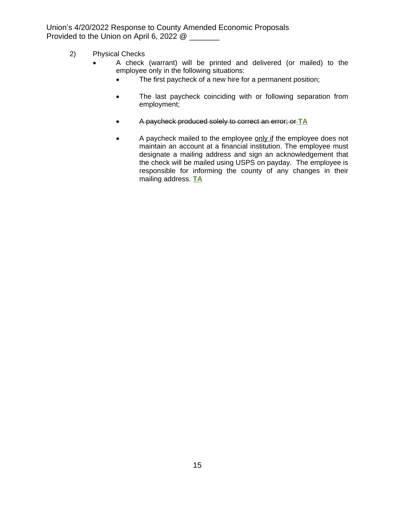- 2) Physical Checks
	- A check (warrant) will be printed and delivered (or mailed) to the employee only in the following situations:
		- The first paycheck of a new hire for a permanent position;
		- The last paycheck coinciding with or following separation from employment;
		- A paycheck produced solely to correct an error; or **TA**
		- A paycheck mailed to the employee only if the employee does not maintain an account at a financial institution. The employee must designate a mailing address and sign an acknowledgement that the check will be mailed using USPS on payday. The employee is responsible for informing the county of any changes in their mailing address. **TA**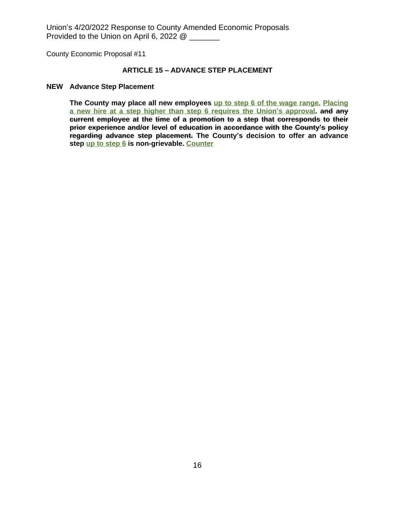County Economic Proposal #11

### **ARTICLE 15 – ADVANCE STEP PLACEMENT**

# **NEW Advance Step Placement**

**The County may place all new employees up to step 6 of the wage range. Placing a new hire at a step higher than step 6 requires the Union's approval. and any current employee at the time of a promotion to a step that corresponds to their prior experience and/or level of education in accordance with the County's policy regarding advance step placement. The County's decision to offer an advance step up to step 6 is non-grievable. Counter**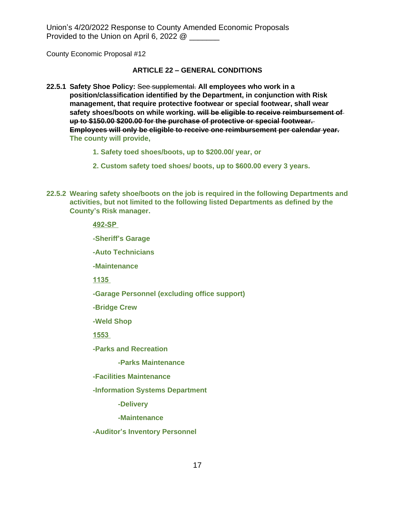County Economic Proposal #12

# **ARTICLE 22 – GENERAL CONDITIONS**

- **22.5.1 Safety Shoe Policy:** See supplemental. **All employees who work in a position/classification identified by the Department, in conjunction with Risk management, that require protective footwear or special footwear, shall wear safety shoes/boots on while working. will be eligible to receive reimbursement of up to \$150.00 \$200.00 for the purchase of protective or special footwear. Employees will only be eligible to receive one reimbursement per calendar year. The county will provide,**
	- **1. Safety toed shoes/boots, up to \$200.00/ year, or**
	- **2. Custom safety toed shoes/ boots, up to \$600.00 every 3 years.**
- **22.5.2 Wearing safety shoe/boots on the job is required in the following Departments and activities, but not limited to the following listed Departments as defined by the County's Risk manager.**

**492-SP** 

**-Sheriff's Garage**

**-Auto Technicians**

**-Maintenance**

**1135** 

**-Garage Personnel (excluding office support)**

**-Bridge Crew**

**-Weld Shop**

**1553** 

**-Parks and Recreation**

 **-Parks Maintenance**

**-Facilities Maintenance**

**-Information Systems Department**

 **-Delivery**

 **-Maintenance**

**-Auditor's Inventory Personnel**